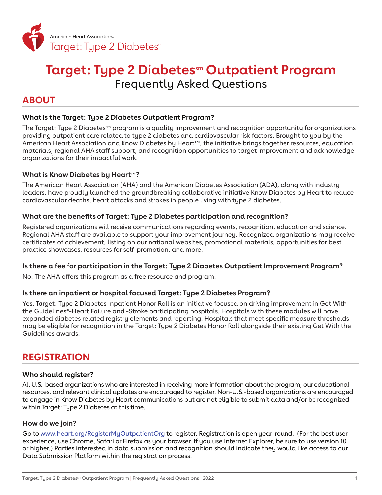

# **Target: Type 2 Diabetes**sm **Outpatient Program** Frequently Asked Questions

# **ABOUT**

# **What is the Target: Type 2 Diabetes Outpatient Program?**

The Target: Type 2 Diabetes<sup>sm</sup> program is a quality improvement and recognition opportunity for organizations providing outpatient care related to type 2 diabetes and cardiovascular risk factors. Brought to you by the American Heart Association and Know Diabetes by Heart™, the initiative brings together resources, education materials, regional AHA staff support, and recognition opportunities to target improvement and acknowledge organizations for their impactful work.

# **What is Know Diabetes by Heart**™**?**

The American Heart Association (AHA) and the American Diabetes Association (ADA), along with industry leaders, have proudly launched the groundbreaking collaborative initiative Know Diabetes by Heart to reduce cardiovascular deaths, heart attacks and strokes in people living with type 2 diabetes.

# **What are the benefits of Target: Type 2 Diabetes participation and recognition?**

Registered organizations will receive communications regarding events, recognition, education and science. Regional AHA staff are available to support your improvement journey. Recognized organizations may receive certificates of achievement, listing on our national websites, promotional materials, opportunities for best practice showcases, resources for self-promotion, and more.

## **Is there a fee for participation in the Target: Type 2 Diabetes Outpatient Improvement Program?**

No. The AHA offers this program as a free resource and program.

## **Is there an inpatient or hospital focused Target: Type 2 Diabetes Program?**

Yes. Target: Type 2 Diabetes Inpatient Honor Roll is an initiative focused on driving improvement in Get With the Guidelines®-Heart Failure and -Stroke participating hospitals. Hospitals with these modules will have expanded diabetes related registry elements and reporting. Hospitals that meet specific measure thresholds may be eligible for recognition in the Target: Type 2 Diabetes Honor Roll alongside their existing Get With the Guidelines awards.

# **REGISTRATION**

## **Who should register?**

All U.S.-based organizations who are interested in receiving more information about the program, our educational resources, and relevant clinical updates are encouraged to register. Non-U.S.-based organizations are encouraged to engage in Know Diabetes by Heart communications but are not eligible to submit data and/or be recognized within Target: Type 2 Diabetes at this time.

## **How do we join?**

Go to [www.heart.org/RegisterMyOutpatientOrg](http://www.heart.org/RegisterMyOutpatientOrg) to register. Registration is open year-round. (For the best user experience, use Chrome, Safari or Firefox as your browser. If you use Internet Explorer, be sure to use version 10 or higher.) Parties interested in data submission and recognition should indicate they would like access to our Data Submission Platform within the registration process.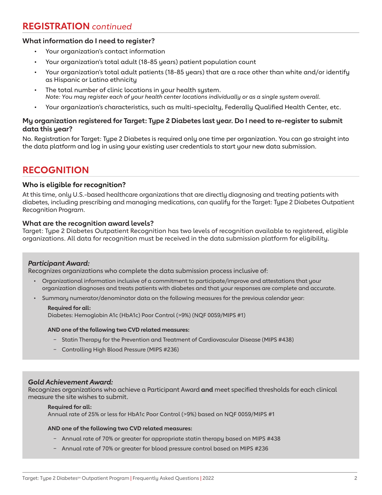# **REGISTRATION** *continued*

# **What information do I need to register?**

- Your organization's contact information
- Your organization's total adult (18-85 years) patient population count
- Your organization's total adult patients (18-85 years) that are a race other than white and/or identify as Hispanic or Latino ethnicity
- The total number of clinic locations in your health system. *Note: You may register each of your health center locations individually or as a single system overall.*
- Your organization's characteristics, such as multi-specialty, Federally Qualified Health Center, etc.

# **My organization registered for Target: Type 2 Diabetes last year. Do I need to re-register to submit data this year?**

No. Registration for Target: Type 2 Diabetes is required only one time per organization. You can go straight into the data platform and log in using your existing user credentials to start your new data submission.

# **RECOGNITION**

## **Who is eligible for recognition?**

At this time, only U.S.-based healthcare organizations that are directly diagnosing and treating patients with diabetes, including prescribing and managing medications, can qualify for the Target: Type 2 Diabetes Outpatient Recognition Program.

## **What are the recognition award levels?**

Target: Type 2 Diabetes Outpatient Recognition has two levels of recognition available to registered, eligible organizations. All data for recognition must be received in the data submission platform for eligibility.

## *Participant Award:*

Recognizes organizations who complete the data submission process inclusive of:

- Organizational information inclusive of a commitment to participate/improve and attestations that your organization diagnoses and treats patients with diabetes and that your responses are complete and accurate.
- Summary numerator/denominator data on the following measures for the previous calendar year:

#### **Required for all:**

Diabetes: Hemoglobin A1c (HbA1c) Poor Control (>9%) (NQF 0059/MIPS #1)

#### **AND one of the following two CVD related measures:**

- − Statin Therapy for the Prevention and Treatment of Cardiovascular Disease (MIPS #438)
- − Controlling High Blood Pressure (MIPS #236)

#### *Gold Achievement Award:*

Recognizes organizations who achieve a Participant Award **and** meet specified thresholds for each clinical measure the site wishes to submit.

#### **Required for all:**

Annual rate of 25% or less for HbA1c Poor Control (>9%) based on NQF 0059/MIPS #1

#### **AND one of the following two CVD related measures:**

- − Annual rate of 70% or greater for appropriate statin therapy based on MIPS #438
- − Annual rate of 70% or greater for blood pressure control based on MIPS #236